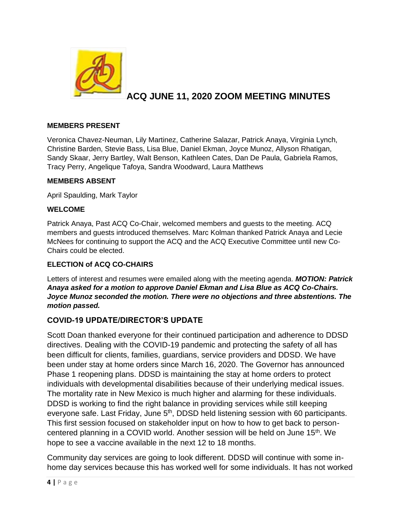

# **ACQ JUNE 11, 2020 ZOOM MEETING MINUTES**

#### **MEMBERS PRESENT**

Veronica Chavez-Neuman, Lily Martinez, Catherine Salazar, Patrick Anaya, Virginia Lynch, Christine Barden, Stevie Bass, Lisa Blue, Daniel Ekman, Joyce Munoz, Allyson Rhatigan, Sandy Skaar, Jerry Bartley, Walt Benson, Kathleen Cates, Dan De Paula, Gabriela Ramos, Tracy Perry, Angelique Tafoya, Sandra Woodward, Laura Matthews

#### **MEMBERS ABSENT**

April Spaulding, Mark Taylor

#### **WELCOME**

Patrick Anaya, Past ACQ Co-Chair, welcomed members and guests to the meeting. ACQ members and guests introduced themselves. Marc Kolman thanked Patrick Anaya and Lecie McNees for continuing to support the ACQ and the ACQ Executive Committee until new Co-Chairs could be elected.

### **ELECTION of ACQ CO-CHAIRS**

Letters of interest and resumes were emailed along with the meeting agenda. *MOTION: Patrick Anaya asked for a motion to approve Daniel Ekman and Lisa Blue as ACQ Co-Chairs. Joyce Munoz seconded the motion. There were no objections and three abstentions. The motion passed.* 

### **COVID-19 UPDATE/DIRECTOR'S UPDATE**

Scott Doan thanked everyone for their continued participation and adherence to DDSD directives. Dealing with the COVID-19 pandemic and protecting the safety of all has been difficult for clients, families, guardians, service providers and DDSD. We have been under stay at home orders since March 16, 2020. The Governor has announced Phase 1 reopening plans. DDSD is maintaining the stay at home orders to protect individuals with developmental disabilities because of their underlying medical issues. The mortality rate in New Mexico is much higher and alarming for these individuals. DDSD is working to find the right balance in providing services while still keeping everyone safe. Last Friday, June 5<sup>th</sup>, DDSD held listening session with 60 participants. This first session focused on stakeholder input on how to how to get back to personcentered planning in a COVID world. Another session will be held on June 15<sup>th</sup>. We hope to see a vaccine available in the next 12 to 18 months.

Community day services are going to look different. DDSD will continue with some inhome day services because this has worked well for some individuals. It has not worked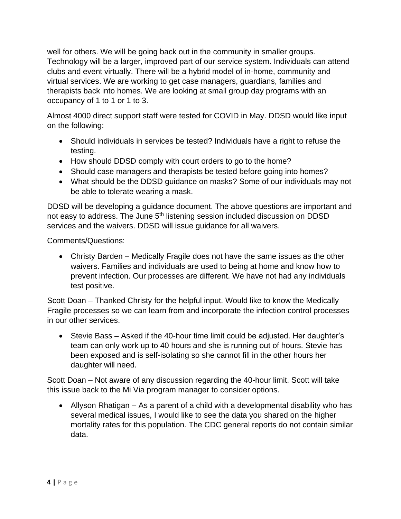well for others. We will be going back out in the community in smaller groups. Technology will be a larger, improved part of our service system. Individuals can attend clubs and event virtually. There will be a hybrid model of in-home, community and virtual services. We are working to get case managers, guardians, families and therapists back into homes. We are looking at small group day programs with an occupancy of 1 to 1 or 1 to 3.

Almost 4000 direct support staff were tested for COVID in May. DDSD would like input on the following:

- Should individuals in services be tested? Individuals have a right to refuse the testing.
- How should DDSD comply with court orders to go to the home?
- Should case managers and therapists be tested before going into homes?
- What should be the DDSD guidance on masks? Some of our individuals may not be able to tolerate wearing a mask.

DDSD will be developing a guidance document. The above questions are important and not easy to address. The June 5<sup>th</sup> listening session included discussion on DDSD services and the waivers. DDSD will issue guidance for all waivers.

Comments/Questions:

• Christy Barden – Medically Fragile does not have the same issues as the other waivers. Families and individuals are used to being at home and know how to prevent infection. Our processes are different. We have not had any individuals test positive.

Scott Doan – Thanked Christy for the helpful input. Would like to know the Medically Fragile processes so we can learn from and incorporate the infection control processes in our other services.

• Stevie Bass – Asked if the 40-hour time limit could be adjusted. Her daughter's team can only work up to 40 hours and she is running out of hours. Stevie has been exposed and is self-isolating so she cannot fill in the other hours her daughter will need.

Scott Doan – Not aware of any discussion regarding the 40-hour limit. Scott will take this issue back to the Mi Via program manager to consider options.

• Allyson Rhatigan – As a parent of a child with a developmental disability who has several medical issues, I would like to see the data you shared on the higher mortality rates for this population. The CDC general reports do not contain similar data.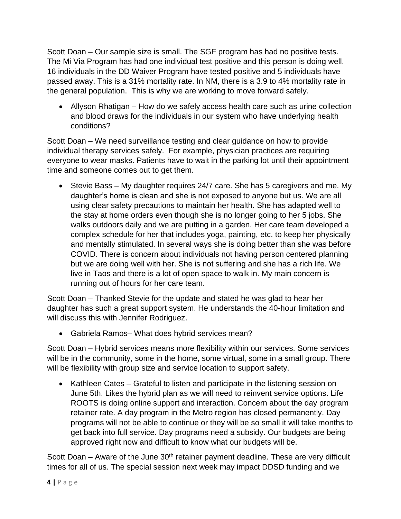Scott Doan – Our sample size is small. The SGF program has had no positive tests. The Mi Via Program has had one individual test positive and this person is doing well. 16 individuals in the DD Waiver Program have tested positive and 5 individuals have passed away. This is a 31% mortality rate. In NM, there is a 3.9 to 4% mortality rate in the general population. This is why we are working to move forward safely.

• Allyson Rhatigan – How do we safely access health care such as urine collection and blood draws for the individuals in our system who have underlying health conditions?

Scott Doan – We need surveillance testing and clear guidance on how to provide individual therapy services safely. For example, physician practices are requiring everyone to wear masks. Patients have to wait in the parking lot until their appointment time and someone comes out to get them.

• Stevie Bass – My daughter requires 24/7 care. She has 5 caregivers and me. My daughter's home is clean and she is not exposed to anyone but us. We are all using clear safety precautions to maintain her health. She has adapted well to the stay at home orders even though she is no longer going to her 5 jobs. She walks outdoors daily and we are putting in a garden. Her care team developed a complex schedule for her that includes yoga, painting, etc. to keep her physically and mentally stimulated. In several ways she is doing better than she was before COVID. There is concern about individuals not having person centered planning but we are doing well with her. She is not suffering and she has a rich life. We live in Taos and there is a lot of open space to walk in. My main concern is running out of hours for her care team.

Scott Doan – Thanked Stevie for the update and stated he was glad to hear her daughter has such a great support system. He understands the 40-hour limitation and will discuss this with Jennifer Rodriguez.

• Gabriela Ramos– What does hybrid services mean?

Scott Doan – Hybrid services means more flexibility within our services. Some services will be in the community, some in the home, some virtual, some in a small group. There will be flexibility with group size and service location to support safety.

• Kathleen Cates – Grateful to listen and participate in the listening session on June 5th. Likes the hybrid plan as we will need to reinvent service options. Life ROOTS is doing online support and interaction. Concern about the day program retainer rate. A day program in the Metro region has closed permanently. Day programs will not be able to continue or they will be so small it will take months to get back into full service. Day programs need a subsidy. Our budgets are being approved right now and difficult to know what our budgets will be.

Scott Doan – Aware of the June  $30<sup>th</sup>$  retainer payment deadline. These are very difficult times for all of us. The special session next week may impact DDSD funding and we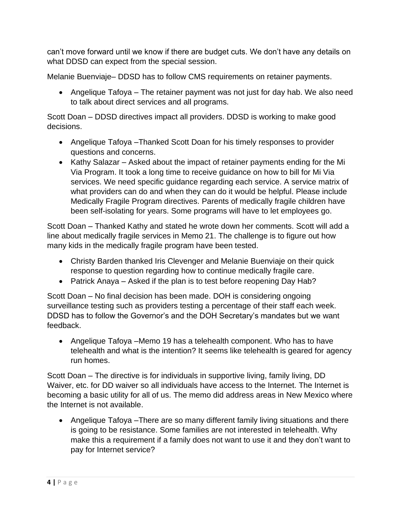can't move forward until we know if there are budget cuts. We don't have any details on what DDSD can expect from the special session.

Melanie Buenviaje– DDSD has to follow CMS requirements on retainer payments.

• Angelique Tafoya – The retainer payment was not just for day hab. We also need to talk about direct services and all programs.

Scott Doan – DDSD directives impact all providers. DDSD is working to make good decisions.

- Angelique Tafoya –Thanked Scott Doan for his timely responses to provider questions and concerns.
- Kathy Salazar Asked about the impact of retainer payments ending for the Mi Via Program. It took a long time to receive guidance on how to bill for Mi Via services. We need specific guidance regarding each service. A service matrix of what providers can do and when they can do it would be helpful. Please include Medically Fragile Program directives. Parents of medically fragile children have been self-isolating for years. Some programs will have to let employees go.

Scott Doan – Thanked Kathy and stated he wrote down her comments. Scott will add a line about medically fragile services in Memo 21. The challenge is to figure out how many kids in the medically fragile program have been tested.

- Christy Barden thanked Iris Clevenger and Melanie Buenviaje on their quick response to question regarding how to continue medically fragile care.
- Patrick Anaya Asked if the plan is to test before reopening Day Hab?

Scott Doan – No final decision has been made. DOH is considering ongoing surveillance testing such as providers testing a percentage of their staff each week. DDSD has to follow the Governor's and the DOH Secretary's mandates but we want feedback.

• Angelique Tafoya –Memo 19 has a telehealth component. Who has to have telehealth and what is the intention? It seems like telehealth is geared for agency run homes.

Scott Doan – The directive is for individuals in supportive living, family living, DD Waiver, etc. for DD waiver so all individuals have access to the Internet. The Internet is becoming a basic utility for all of us. The memo did address areas in New Mexico where the Internet is not available.

• Angelique Tafoya –There are so many different family living situations and there is going to be resistance. Some families are not interested in telehealth. Why make this a requirement if a family does not want to use it and they don't want to pay for Internet service?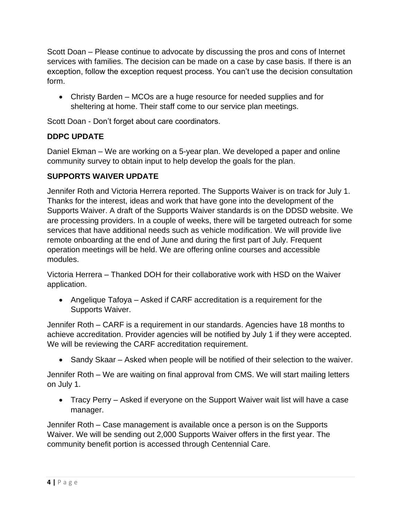Scott Doan – Please continue to advocate by discussing the pros and cons of Internet services with families. The decision can be made on a case by case basis. If there is an exception, follow the exception request process. You can't use the decision consultation form.

• Christy Barden – MCOs are a huge resource for needed supplies and for sheltering at home. Their staff come to our service plan meetings.

Scott Doan - Don't forget about care coordinators.

# **DDPC UPDATE**

Daniel Ekman – We are working on a 5-year plan. We developed a paper and online community survey to obtain input to help develop the goals for the plan.

# **SUPPORTS WAIVER UPDATE**

Jennifer Roth and Victoria Herrera reported. The Supports Waiver is on track for July 1. Thanks for the interest, ideas and work that have gone into the development of the Supports Waiver. A draft of the Supports Waiver standards is on the DDSD website. We are processing providers. In a couple of weeks, there will be targeted outreach for some services that have additional needs such as vehicle modification. We will provide live remote onboarding at the end of June and during the first part of July. Frequent operation meetings will be held. We are offering online courses and accessible modules.

Victoria Herrera – Thanked DOH for their collaborative work with HSD on the Waiver application.

• Angelique Tafoya – Asked if CARF accreditation is a requirement for the Supports Waiver.

Jennifer Roth – CARF is a requirement in our standards. Agencies have 18 months to achieve accreditation. Provider agencies will be notified by July 1 if they were accepted. We will be reviewing the CARF accreditation requirement.

• Sandy Skaar – Asked when people will be notified of their selection to the waiver.

Jennifer Roth – We are waiting on final approval from CMS. We will start mailing letters on July 1.

• Tracy Perry – Asked if everyone on the Support Waiver wait list will have a case manager.

Jennifer Roth – Case management is available once a person is on the Supports Waiver. We will be sending out 2,000 Supports Waiver offers in the first year. The community benefit portion is accessed through Centennial Care.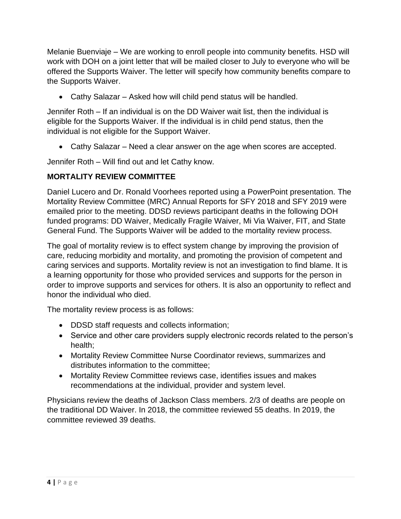Melanie Buenviaje – We are working to enroll people into community benefits. HSD will work with DOH on a joint letter that will be mailed closer to July to everyone who will be offered the Supports Waiver. The letter will specify how community benefits compare to the Supports Waiver.

• Cathy Salazar – Asked how will child pend status will be handled.

Jennifer Roth – If an individual is on the DD Waiver wait list, then the individual is eligible for the Supports Waiver. If the individual is in child pend status, then the individual is not eligible for the Support Waiver.

• Cathy Salazar – Need a clear answer on the age when scores are accepted.

Jennifer Roth – Will find out and let Cathy know.

# **MORTALITY REVIEW COMMITTEE**

Daniel Lucero and Dr. Ronald Voorhees reported using a PowerPoint presentation. The Mortality Review Committee (MRC) Annual Reports for SFY 2018 and SFY 2019 were emailed prior to the meeting. DDSD reviews participant deaths in the following DOH funded programs: DD Waiver, Medically Fragile Waiver, Mi Via Waiver, FIT, and State General Fund. The Supports Waiver will be added to the mortality review process.

The goal of mortality review is to effect system change by improving the provision of care, reducing morbidity and mortality, and promoting the provision of competent and caring services and supports. Mortality review is not an investigation to find blame. It is a learning opportunity for those who provided services and supports for the person in order to improve supports and services for others. It is also an opportunity to reflect and honor the individual who died.

The mortality review process is as follows:

- DDSD staff requests and collects information;
- Service and other care providers supply electronic records related to the person's health;
- Mortality Review Committee Nurse Coordinator reviews, summarizes and distributes information to the committee;
- Mortality Review Committee reviews case, identifies issues and makes recommendations at the individual, provider and system level.

Physicians review the deaths of Jackson Class members. 2/3 of deaths are people on the traditional DD Waiver. In 2018, the committee reviewed 55 deaths. In 2019, the committee reviewed 39 deaths.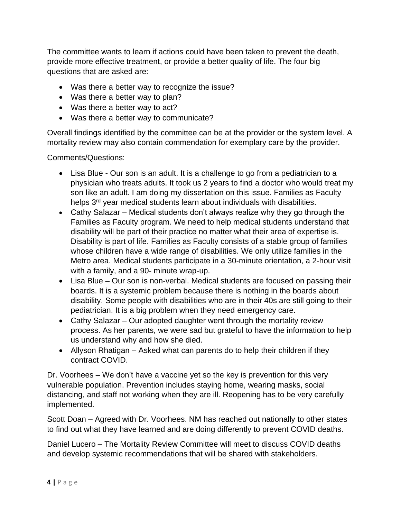The committee wants to learn if actions could have been taken to prevent the death, provide more effective treatment, or provide a better quality of life. The four big questions that are asked are:

- Was there a better way to recognize the issue?
- Was there a better way to plan?
- Was there a better way to act?
- Was there a better way to communicate?

Overall findings identified by the committee can be at the provider or the system level. A mortality review may also contain commendation for exemplary care by the provider.

Comments/Questions:

- Lisa Blue Our son is an adult. It is a challenge to go from a pediatrician to a physician who treats adults. It took us 2 years to find a doctor who would treat my son like an adult. I am doing my dissertation on this issue. Families as Faculty helps 3<sup>rd</sup> year medical students learn about individuals with disabilities.
- Cathy Salazar Medical students don't always realize why they go through the Families as Faculty program. We need to help medical students understand that disability will be part of their practice no matter what their area of expertise is. Disability is part of life. Families as Faculty consists of a stable group of families whose children have a wide range of disabilities. We only utilize families in the Metro area. Medical students participate in a 30-minute orientation, a 2-hour visit with a family, and a 90- minute wrap-up.
- Lisa Blue Our son is non-verbal. Medical students are focused on passing their boards. It is a systemic problem because there is nothing in the boards about disability. Some people with disabilities who are in their 40s are still going to their pediatrician. It is a big problem when they need emergency care.
- Cathy Salazar Our adopted daughter went through the mortality review process. As her parents, we were sad but grateful to have the information to help us understand why and how she died.
- Allyson Rhatigan Asked what can parents do to help their children if they contract COVID.

Dr. Voorhees – We don't have a vaccine yet so the key is prevention for this very vulnerable population. Prevention includes staying home, wearing masks, social distancing, and staff not working when they are ill. Reopening has to be very carefully implemented.

Scott Doan – Agreed with Dr. Voorhees. NM has reached out nationally to other states to find out what they have learned and are doing differently to prevent COVID deaths.

Daniel Lucero – The Mortality Review Committee will meet to discuss COVID deaths and develop systemic recommendations that will be shared with stakeholders.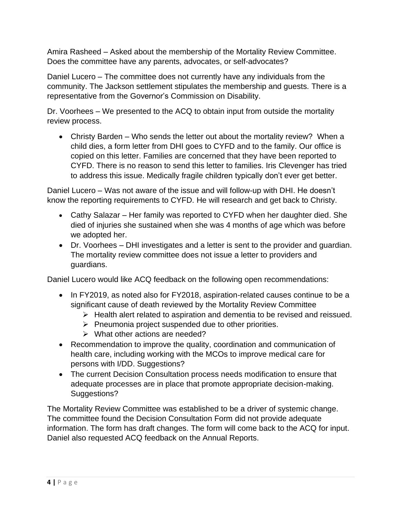Amira Rasheed – Asked about the membership of the Mortality Review Committee. Does the committee have any parents, advocates, or self-advocates?

Daniel Lucero – The committee does not currently have any individuals from the community. The Jackson settlement stipulates the membership and guests. There is a representative from the Governor's Commission on Disability.

Dr. Voorhees – We presented to the ACQ to obtain input from outside the mortality review process.

• Christy Barden – Who sends the letter out about the mortality review? When a child dies, a form letter from DHI goes to CYFD and to the family. Our office is copied on this letter. Families are concerned that they have been reported to CYFD. There is no reason to send this letter to families. Iris Clevenger has tried to address this issue. Medically fragile children typically don't ever get better.

Daniel Lucero – Was not aware of the issue and will follow-up with DHI. He doesn't know the reporting requirements to CYFD. He will research and get back to Christy.

- Cathy Salazar Her family was reported to CYFD when her daughter died. She died of injuries she sustained when she was 4 months of age which was before we adopted her.
- Dr. Voorhees DHI investigates and a letter is sent to the provider and guardian. The mortality review committee does not issue a letter to providers and guardians.

Daniel Lucero would like ACQ feedback on the following open recommendations:

- In FY2019, as noted also for FY2018, aspiration-related causes continue to be a significant cause of death reviewed by the Mortality Review Committee
	- ➢ Health alert related to aspiration and dementia to be revised and reissued.
	- ➢ Pneumonia project suspended due to other priorities.
	- ➢ What other actions are needed?
- Recommendation to improve the quality, coordination and communication of health care, including working with the MCOs to improve medical care for persons with I/DD. Suggestions?
- The current Decision Consultation process needs modification to ensure that adequate processes are in place that promote appropriate decision-making. Suggestions?

The Mortality Review Committee was established to be a driver of systemic change. The committee found the Decision Consultation Form did not provide adequate information. The form has draft changes. The form will come back to the ACQ for input. Daniel also requested ACQ feedback on the Annual Reports.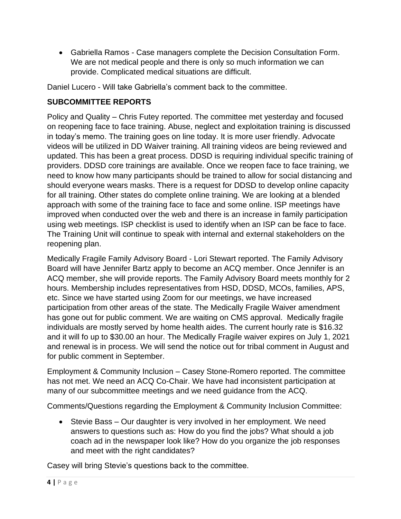• Gabriella Ramos - Case managers complete the Decision Consultation Form. We are not medical people and there is only so much information we can provide. Complicated medical situations are difficult.

Daniel Lucero - Will take Gabriella's comment back to the committee.

### **SUBCOMMITTEE REPORTS**

Policy and Quality – Chris Futey reported. The committee met yesterday and focused on reopening face to face training. Abuse, neglect and exploitation training is discussed in today's memo. The training goes on line today. It is more user friendly. Advocate videos will be utilized in DD Waiver training. All training videos are being reviewed and updated. This has been a great process. DDSD is requiring individual specific training of providers. DDSD core trainings are available. Once we reopen face to face training, we need to know how many participants should be trained to allow for social distancing and should everyone wears masks. There is a request for DDSD to develop online capacity for all training. Other states do complete online training. We are looking at a blended approach with some of the training face to face and some online. ISP meetings have improved when conducted over the web and there is an increase in family participation using web meetings. ISP checklist is used to identify when an ISP can be face to face. The Training Unit will continue to speak with internal and external stakeholders on the reopening plan.

Medically Fragile Family Advisory Board - Lori Stewart reported. The Family Advisory Board will have Jennifer Bartz apply to become an ACQ member. Once Jennifer is an ACQ member, she will provide reports. The Family Advisory Board meets monthly for 2 hours. Membership includes representatives from HSD, DDSD, MCOs, families, APS, etc. Since we have started using Zoom for our meetings, we have increased participation from other areas of the state. The Medically Fragile Waiver amendment has gone out for public comment. We are waiting on CMS approval. Medically fragile individuals are mostly served by home health aides. The current hourly rate is \$16.32 and it will fo up to \$30.00 an hour. The Medically Fragile waiver expires on July 1, 2021 and renewal is in process. We will send the notice out for tribal comment in August and for public comment in September.

Employment & Community Inclusion – Casey Stone-Romero reported. The committee has not met. We need an ACQ Co-Chair. We have had inconsistent participation at many of our subcommittee meetings and we need guidance from the ACQ.

Comments/Questions regarding the Employment & Community Inclusion Committee:

• Stevie Bass – Our daughter is very involved in her employment. We need answers to questions such as: How do you find the jobs? What should a job coach ad in the newspaper look like? How do you organize the job responses and meet with the right candidates?

Casey will bring Stevie's questions back to the committee.